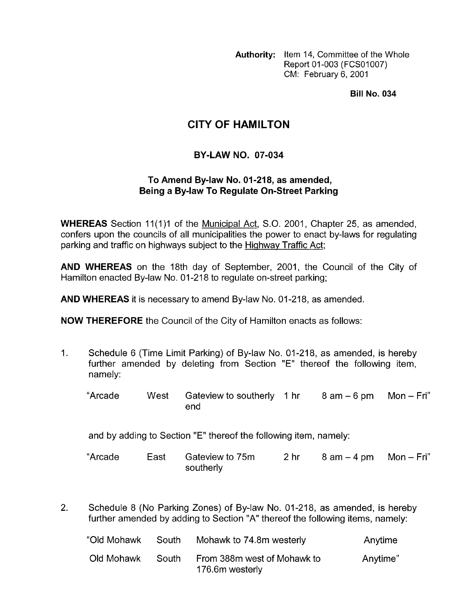**Authority:** Item 14, Committee of the Whole Report 01-003 (FCS01007) CM: February 6, 2001

**Bill No. 034** 

## **CITY OF HAMILTON**

## **BY-LAW NO. 07-034**

## **To Amend By-law No. 01 -21 8, as amended, Being a By-law To Regulate On-Street Parking**

**WHEREAS** Section 11(1)1 of the Municipal Act, S.O. 2001, Chapter 25, as amended, confers upon the councils of all municipalities the power to enact by-laws for regulating parking and traffic on highways subject to the Highway Traffic Act;

**AND WHEREAS** on the 18th day of September, 2001, the Council of the City of Hamilton enacted By-law No. 01-218 to regulate on-street parking;

**AND WHEREAS** it is necessary to amend By-law No. 01-218, as amended.

**NOW THEREFORE** the Council of the City of Hamilton enacts as follows:

1. Schedule 6 (Time Limit Parking) of By-law No. 01-218, as amended, is hereby further amended by deleting from Section "E" thereof the following item, namely:

"Arcade West Gateview to southerly 1 hr 8 am - 6 pm Mon - Fri" end

and by adding to Section "E" thereof the following item, namely:

"Arcade East Gateview to 75m 2 hr 8 am - 4 pm Mon - Fri" southerly

2. Schedule 8 (No Parking Zones) of By-law No. 01-218, as amended, is hereby further amended by adding to Section "A" thereof the following items, namely:

| "Old Mohawk | South | Mohawk to 74.8m westerly                       | Anytime  |
|-------------|-------|------------------------------------------------|----------|
| Old Mohawk  | South | From 388m west of Mohawk to<br>176.6m westerly | Anytime" |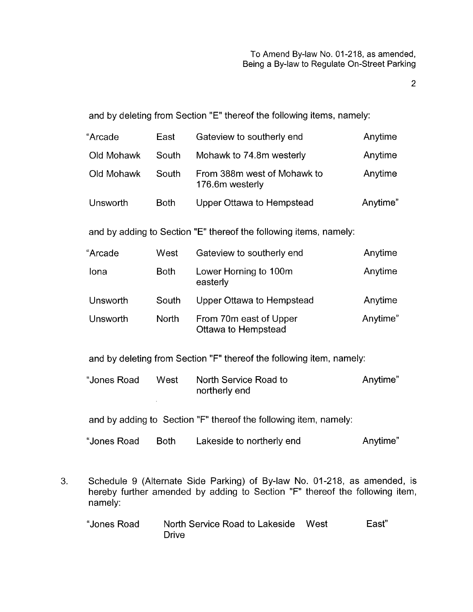2

and by deleting from Section "E" thereof the following items, namely:

| "Arcade    | East        | Gateview to southerly end                      | Anytime  |
|------------|-------------|------------------------------------------------|----------|
| Old Mohawk | South       | Mohawk to 74.8m westerly                       | Anytime  |
| Old Mohawk | South       | From 388m west of Mohawk to<br>176.6m westerly | Anytime  |
| Unsworth   | <b>Both</b> | Upper Ottawa to Hempstead                      | Anytime" |

and by adding to Section "E" thereof the following items, namely:

| "Arcade  | West         | Gateview to southerly end                     | Anytime  |
|----------|--------------|-----------------------------------------------|----------|
| Iona     | <b>Both</b>  | Lower Horning to 100m<br>easterly             | Anytime  |
| Unsworth | South        | Upper Ottawa to Hempstead                     | Anytime  |
| Unsworth | <b>North</b> | From 70m east of Upper<br>Ottawa to Hempstead | Anytime" |

and by deleting from Section "F" thereof the following item, namely:

| "Jones Road | West | North Service Road to | Anytime" |
|-------------|------|-----------------------|----------|
|             |      | northerly end         |          |

and by adding to Section "F" thereof the following item, namely:

 $\sim$ 

| "Jones Road | <b>Both</b> | Lakeside to northerly end | Anytime" |
|-------------|-------------|---------------------------|----------|
|-------------|-------------|---------------------------|----------|

**3.** Schedule 9 (Alternate Side Parking) of By-law No. 01-218, as amended, is hereby further amended by adding to Section "F" thereof the following item, namely:

| "Jones Road | North Service Road to Lakeside West | East" |
|-------------|-------------------------------------|-------|
|             | Drive                               |       |